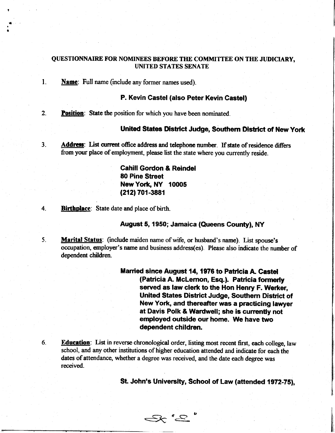# QUESTIONNAIRE FOR NOMINEES BEFORE THE COMMITTEE ON THE JUDICIARY, **UNITED STATES SENATE**

 $\mathbf{1}$ . **Name**: Full name (include any former names used).

# P. Kevin Castel (also Peter Kevin Castel)

 $2.$ **Position:** State the position for which you have been nominated.

# United States District Judge, Southern District of New York

 $3<sub>1</sub>$ Address: List current office address and telephone number. If state of residence differs from your place of employment, please list the state where you currently reside.

> **Cahill Gordon & Reindel 80 Pine Street** New York, NY 10005 (212) 701-3881

 $4.$ **Birthplace:** State date and place of birth.

#### August 5, 1950; Jamaica (Queens County), NY

 $5<sub>1</sub>$ Marital Status: (include maiden name of wife, or husband's name). List spouse's occupation, employer's name and business address(es). Please also indicate the number of dependent children.

> Married since August 14, 1976 to Patricia A. Castel (Patricia A. McLernon, Esq.). Patricia formerly served as law cierk to the Hon Henry F. Werker, United States District Judge, Southern District of New York, and thereafter was a practicing lawyer at Davis Polk & Wardwell; she is currently not employed outside our home. We have two dependent children.

Education: List in reverse chronological order, listing most recent first, each college, law  $6<sub>1</sub>$ school, and any other institutions of higher education attended and indicate for each the dates of attendance, whether a degree was received, and the date each degree was received.

 $x^{\prime}$  $\cong$ 

## St. John's University, School of Law (attended 1972-75).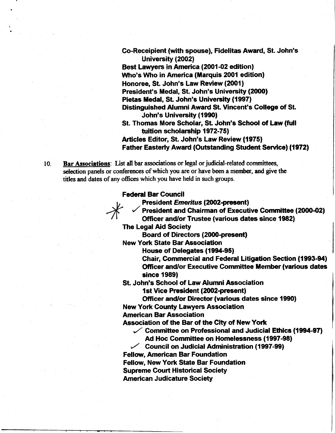Go-Receipient (with spouse), Fidelitas Award, St. John's University (2002) Best Lawyers in America (2001-02 edition) Who's Who in America (Marquis 2001 edition) Honoree, St. John's Law Review (2001) President's Medal, St. John's University (2000) Pietas Medal, St. John's University (1997) Distinguished Alumni Award St. Vincent's College of St. John's University (1990) St. Thomas More Scholar, St. John's School of Law (full tuition scholarship 1972-75) Articles Editor, St. John's Law Review (1975) Father Easterly Award (Outstanding Student Service) (1972)

10. Bar Associations: List all bar associations or legal or judicial-related committees, selection panels or conferences of which you are or have been a member, and give the titles and dates of any offices which you have held in zuch groups.

#### Federal Bar Gouncil

President Emeritus (2002-present)

President and Chairman of Executive Committee (2000-02) Officer and/or Trustee (various dates since 1982)

The Legal Aid Society

Board of Directors (2000-present)

New York State Bar Associaffon

House of Delegates (1994-95)

Chair, Commercial and Federal Litigation Section (1993-94) **Officer and/or Executive Committee Member (various dates** since **1989**)

St. John's School of Law Alumni Association

1st Vice President (2002-present)

Officer and/or Director (various dates since 1990)

New York County Lawyers Association

American Bar Association

Association of the Bar of the Gity of New York

 $\checkmark$  Committee on Professional and Judicial Ethics (1994-97)

Ad Hoc Committee on Homelessness (1997-98)

 $\angle$  Council on Judicial Administration (1997-99)

Fellow, American Bar Foundation

Fellow, New York State Bar Foundation

Supreme Gourt Historical Society

American Judicature Society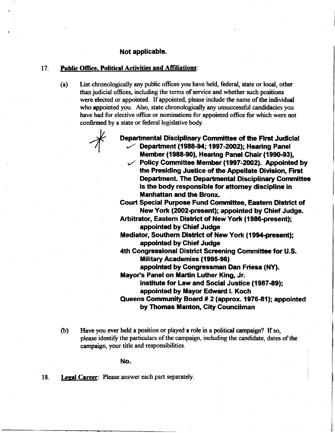# Not applicable.

#### 17. Public Office, Political Activities and Affiliations:

(a) List chronologically any public offices you have held, federal, state or local, other than judicial offices, including the terms of service and whether zuch positions were elected or appointed. If appointed, please include the name of the individual who appointed you. Also, state chronologically any unsuccessful candidacies you have had for elective office or nominations for appointed office for which were not confirmed by a state or federal legislative body.



Departmental Disciplinary Committee of the First Judicial Department (1988-94; 1997-2002); Hearing Panel Member (1988-90), Hearing Panel Ghair (1990-93),

 $\vee$  Policy Committee Member (1997-2002). Appointed by the Presiding Justice of the Appellate Division, First Department. The Departmental Disciplinary Commiftee is the body responsible for attorney discipline in Manhattan and the Bronx.

Court Special Purpose Fund Gommittee, Eastern District of New York (2002-present); appointed by Chief Judge.

Arbitrator, Eastern District of New York (1986-present); appointed by Chief Judge

Mediator, Southern District of New York (1994-present); appointed by Chief Judge

4th Gongressional District Screening Committee for U.S. Military Academies (1 995-96)

appointed by Gongressman Dan Friesa (NY).

Mayor's Panel on Martin Luther King, Jr.

Institute for Law and Social Justice (1987-89); appointed by Mayor Edward I. Koch

Queens Community Board # 2 (approx. 1976-81); appointed by Thomas Manton, City Councilman

- Have you ever held a position or played a role in a political campaign? If so, please identify the particulars of the campaign, including the candidate, dates of the campaign, your title and responsibilities. o)
	- No.

Legal Career: Please answer each part separately. 18.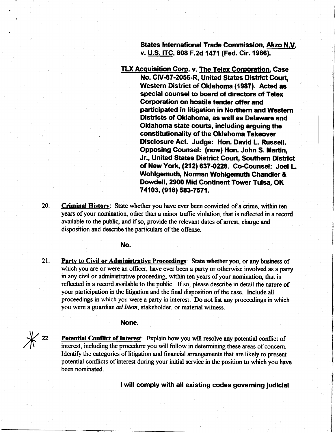States International Trade Commission, Akzo N.V. v. U.S. ITC, 808 F.2d 1471 (Fed. Cir. 1986).

TLX Acquisition Corp. v. The Telex Corporation, Case<br>No. CIV-87-2056-R, United States District Court, Western District of Oklahoma (1987). Acted as special counsel to board of directors of Telex Corporation on hostile tender offer and participated in litigation in Northem and Western Districts of Oklahoma, as well as Delaware and Oklahoma state courts, including arguing the constitutionality of the Oklahoma Takeover Disclosure Act. Judge: Hon. David L. Russell. Opposing Counsel: (now) Hon. John S. Martin, Jr., United States District Court, Southern District of New York, (212) 637-0228. Co-Counsel: Joel L. Wohlgemuth, Norman Wohlgemuth Chandler & Dowdell, 2900 Mid Continent Tower Tulsa. OK 74103, (918) 583-7571.

20. Criminal History: State whether you have ever been convicted of a crime, within ten years of your nomination, other than a minor traffic violation, that is reflected in a record available to the public, and if so, provide the relevant dates of arrest, charge and disposition and describe the particulars of the offense.

#### No.

Party to Civil or Administrative Proceedings: State whether you, or any business of which you are or were an officer, have ever been a party or otherwise involved as a party in any civil or administrative proceeding, within ten years of your nomination, that is reflected in a record available to the public. If so, please describe in detail the nature of your participation in the litigation and the final disposition of the case. Include all proceedings in which you were a party in interest. Do not list any proceedings in which you were a guardian *ad litem*, stakeholder, or material witness. 21.

# None.

 $*$  22.

Potential Conflict of Interest: Explain how you will resolve any potential conflict of interest, including the procedure you will follow in determining these areas of concern. Identify the categories of litigation and financial arrangements that are likely to present potential conflicts of interest during your initial service in the position to which you have been nominated.

I will comply with all existing codes goveming judicial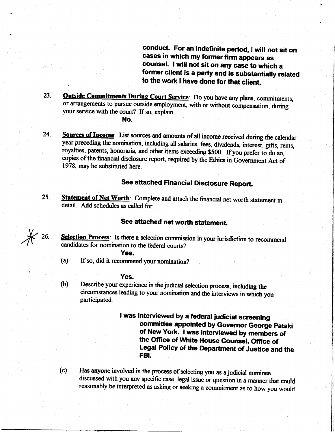conduct. For an indefinite period, I will not sit on cases in which my fonner firm appears as counsel. I will not sit on any case to which a former client is a party and is substantially related to the work I have done for that client

- 23. Outside Commitments During Court Service: Do you have any plans, commitments, or arrangements to pursue outside employment, with or without compensation, during your service with the court? If so, explain. No.
	-
- Sources of Income: List sources and amounts of all income received during the calendar year preceding the nomination, including all salaries, fees, dividends, interest, gifts, rents, royalties, patents, honoraria, and other items exceeding \$500. If you prefer to do so, copies of the financial disclosure report, required by the Ethics in Government Act of 1978, may be substituted here. 24.

# See attached Financial Disclosure Report.

**Statement of Net Worth**: Complete and attach the financial net worth statement in detail. Add schedules as called for. 25.

# See attached net worth statement

Selection Process: Is there a selection commission in your jurisdiction to recommend candidates for nomination to the federal courts?

# Yes.

 $*$  26.

(a) If so, did it recommend your nomination?

#### Yes.

(b) Describe your experience in the judicial selection process, including the circumstances leading to your nomination and the interviews in which you participated.

> I was interviewed by a federal judicial screening commiftee appointed by Govemor George pataki of New York. I was interviewed by members of the Office of White House Counsel, Office of Legal Policy of the Department of Justice and the FBI.

(c) Has anyone involved in the process of selecting you as a judicial nominee discussed with you any specific case, legal issue or question in a manner that could reasonably be interpreted as asking or seeking a commitmert as to how you would